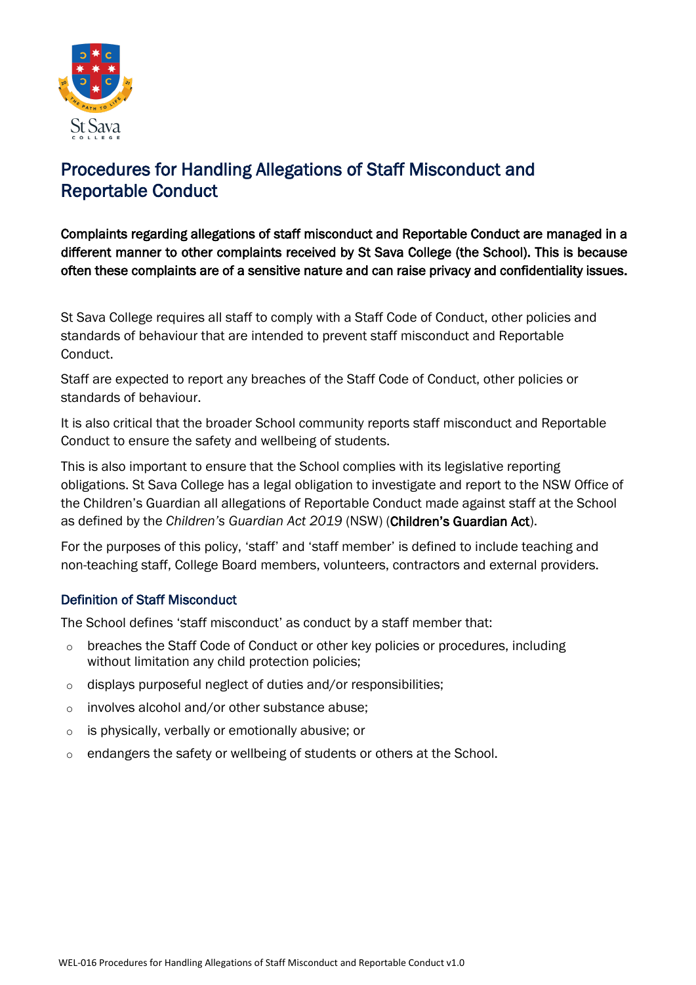

# Procedures for Handling Allegations of Staff Misconduct and Reportable Conduct

Complaints regarding allegations of staff misconduct and Reportable Conduct are managed in a different manner to other complaints received by St Sava College (the School). This is because often these complaints are of a sensitive nature and can raise privacy and confidentiality issues.

St Sava College requires all staff to comply with a Staff Code of Conduct, other policies and standards of behaviour that are intended to prevent staff misconduct and Reportable Conduct.

Staff are expected to report any breaches of the Staff Code of Conduct, other policies or standards of behaviour.

It is also critical that the broader School community reports staff misconduct and Reportable Conduct to ensure the safety and wellbeing of students.

This is also important to ensure that the School complies with its legislative reporting obligations. St Sava College has a legal obligation to investigate and report to the NSW Office of the Children's Guardian all allegations of Reportable Conduct made against staff at the School as defined by the *Children's Guardian Act 2019* (NSW) (Children's Guardian Act).

For the purposes of this policy, 'staff' and 'staff member' is defined to include teaching and non-teaching staff, College Board members, volunteers, contractors and external providers.

# Definition of Staff Misconduct

The School defines 'staff misconduct' as conduct by a staff member that:

- breaches the Staff Code of Conduct or other key policies or procedures, including without limitation any child protection policies;
- o displays purposeful neglect of duties and/or responsibilities;
- o involves alcohol and/or other substance abuse;
- o is physically, verbally or emotionally abusive; or
- o endangers the safety or wellbeing of students or others at the School.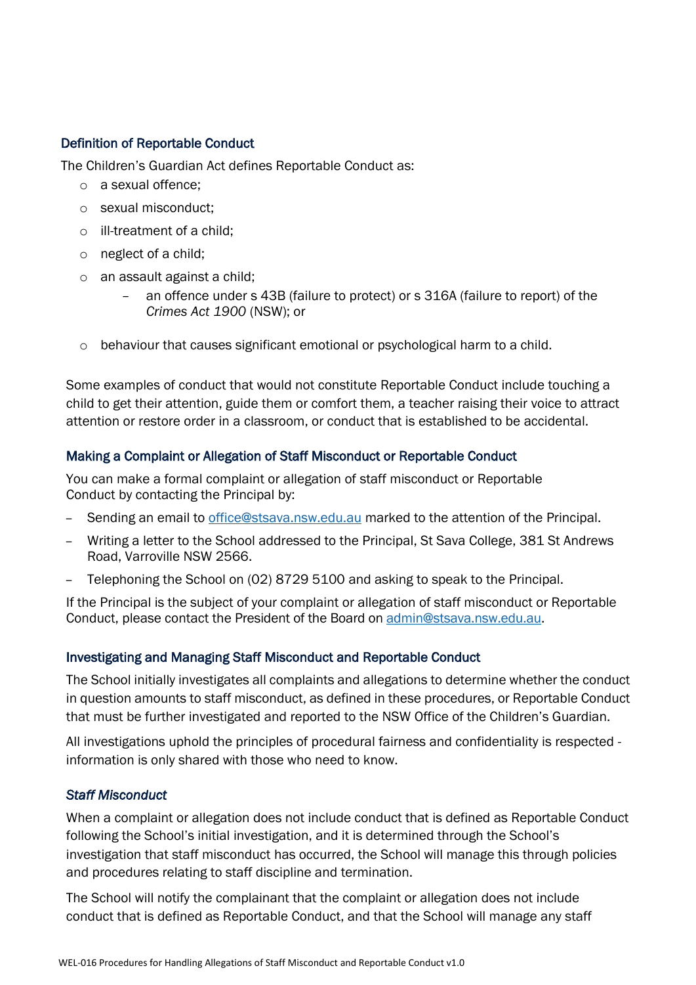## Definition of Reportable Conduct

The Children's Guardian Act defines Reportable Conduct as:

- o a sexual offence;
- o sexual misconduct;
- o ill-treatment of a child;
- o neglect of a child;
- o an assault against a child;
	- an offence under s 43B (failure to protect) or s 316A (failure to report) of the *Crimes Act 1900* (NSW); or
- $\circ$  behaviour that causes significant emotional or psychological harm to a child.

Some examples of conduct that would not constitute Reportable Conduct include touching a child to get their attention, guide them or comfort them, a teacher raising their voice to attract attention or restore order in a classroom, or conduct that is established to be accidental.

## Making a Complaint or Allegation of Staff Misconduct or Reportable Conduct

You can make a formal complaint or allegation of staff misconduct or Reportable Conduct by contacting the Principal by:

- Sending an email to [office@stsava.nsw.edu.au](mailto:office@stsava.nsw.edu.au) marked to the attention of the Principal.
- Writing a letter to the School addressed to the Principal, St Sava College, 381 St Andrews Road, Varroville NSW 2566.
- Telephoning the School on (02) 8729 5100 and asking to speak to the Principal.

If the Principal is the subject of your complaint or allegation of staff misconduct or Reportable Conduct, please contact the President of the Board on [admin@stsava.nsw.edu.au.](mailto:admin@stsava.nsw.edu.au)

### Investigating and Managing Staff Misconduct and Reportable Conduct

The School initially investigates all complaints and allegations to determine whether the conduct in question amounts to staff misconduct, as defined in these procedures, or Reportable Conduct that must be further investigated and reported to the NSW Office of the Children's Guardian.

All investigations uphold the principles of procedural fairness and confidentiality is respected information is only shared with those who need to know.

## *Staff Misconduct*

When a complaint or allegation does not include conduct that is defined as Reportable Conduct following the School's initial investigation, and it is determined through the School's investigation that staff misconduct has occurred, the School will manage this through policies and procedures relating to staff discipline and termination.

The School will notify the complainant that the complaint or allegation does not include conduct that is defined as Reportable Conduct, and that the School will manage any staff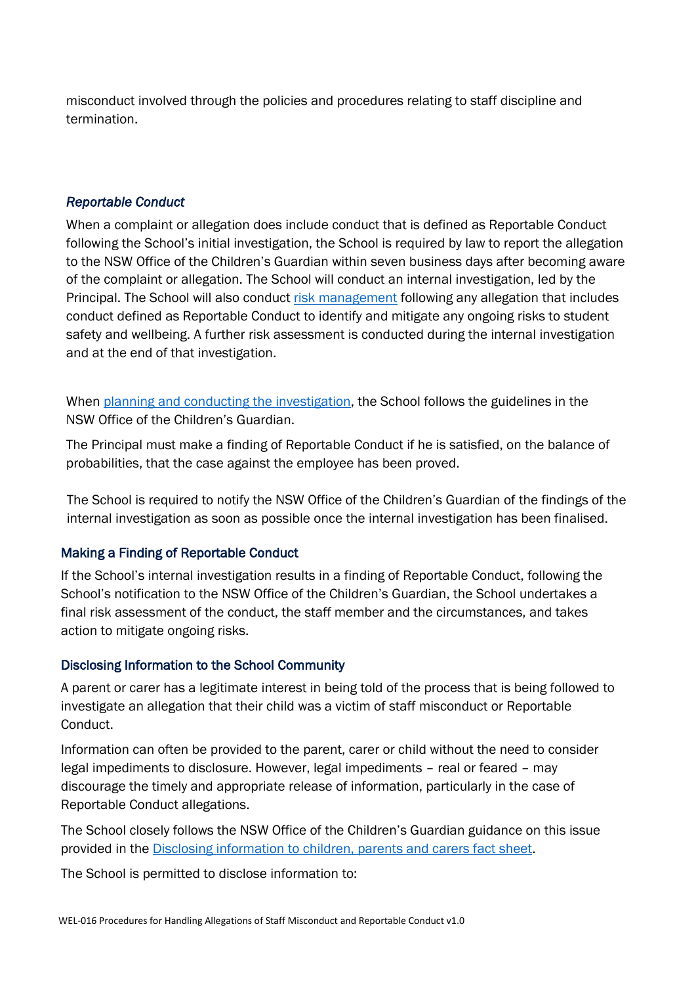misconduct involved through the policies and procedures relating to staff discipline and termination.

## *Reportable Conduct*

When a complaint or allegation does include conduct that is defined as Reportable Conduct following the School's initial investigation, the School is required by law to report the allegation to the NSW Office of the Children's Guardian within seven business days after becoming aware of the complaint or allegation. The School will conduct an internal investigation, led by the Principal. The School will also conduct [risk management](https://ocg.nsw.gov.au/organisations/reportable-conduct-scheme/reportable-conduct-fact-sheets) following any allegation that includes conduct defined as Reportable Conduct to identify and mitigate any ongoing risks to student safety and wellbeing. A further risk assessment is conducted during the internal investigation and at the end of that investigation.

When [planning and conducting the investigation,](https://ocg.nsw.gov.au/organisations/reportable-conduct-scheme/reportable-conduct-fact-sheets) the School follows the guidelines in the NSW Office of the Children's Guardian.

The Principal must make a finding of Reportable Conduct if he is satisfied, on the balance of probabilities, that the case against the employee has been proved.

The School is required to notify the NSW Office of the Children's Guardian of the findings of the internal investigation as soon as possible once the internal investigation has been finalised.

### Making a Finding of Reportable Conduct

If the School's internal investigation results in a finding of Reportable Conduct, following the School's notification to the NSW Office of the Children's Guardian, the School undertakes a final risk assessment of the conduct, the staff member and the circumstances, and takes action to mitigate ongoing risks.

### Disclosing Information to the School Community

A parent or carer has a legitimate interest in being told of the process that is being followed to investigate an allegation that their child was a victim of staff misconduct or Reportable Conduct.

Information can often be provided to the parent, carer or child without the need to consider legal impediments to disclosure. However, legal impediments – real or feared – may discourage the timely and appropriate release of information, particularly in the case of Reportable Conduct allegations.

The School closely follows the NSW Office of the Children's Guardian guidance on this issue provided in the [Disclosing information to children, parents and carers fact sheet.](https://ocg.nsw.gov.au/organisations/reportable-conduct-scheme/reportable-conduct-fact-sheets)

The School is permitted to disclose information to: